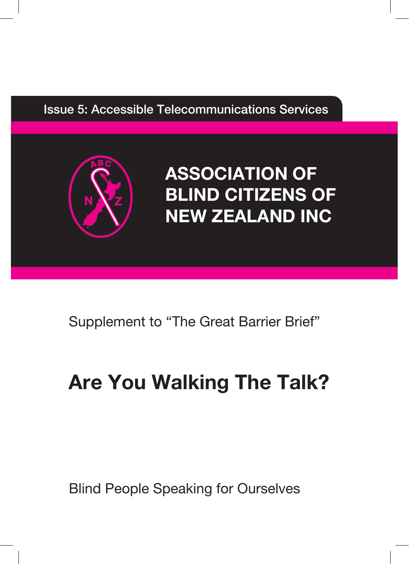#### Issue 5: Accessible Telecommunications Services



**ASSOCIATION OF BLIND CITIZENS OF NEW ZEALAND INC**

Supplement to "The Great Barrier Brief"

# **Are You Walking The Talk?**

Blind People Speaking for Ourselves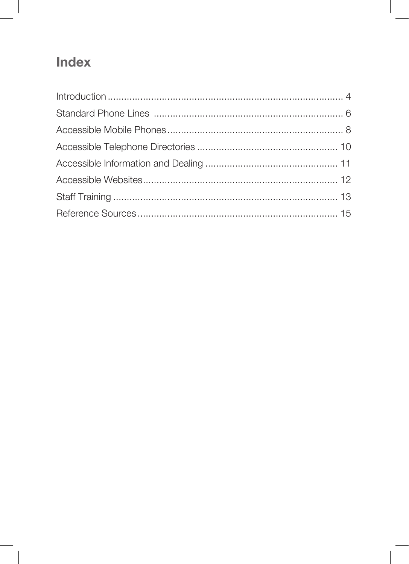## **Index**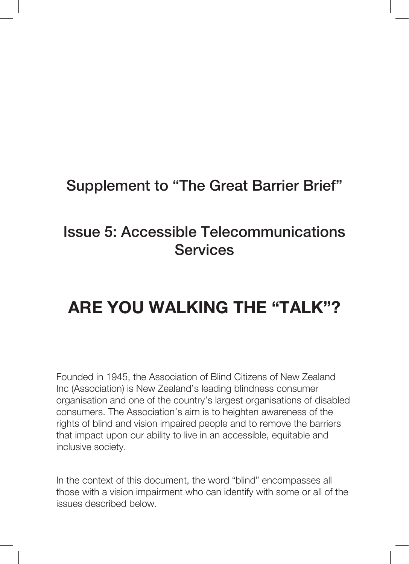# Supplement to "The Great Barrier Brief"

# Issue 5: Accessible Telecommunications **Services**

# **Are You Walking the "Talk"?**

Founded in 1945, the Association of Blind Citizens of New Zealand Inc (Association) is New Zealand's leading blindness consumer organisation and one of the country's largest organisations of disabled consumers. The Association's aim is to heighten awareness of the rights of blind and vision impaired people and to remove the barriers that impact upon our ability to live in an accessible, equitable and inclusive society.

In the context of this document, the word "blind" encompasses all those with a vision impairment who can identify with some or all of the issues described below.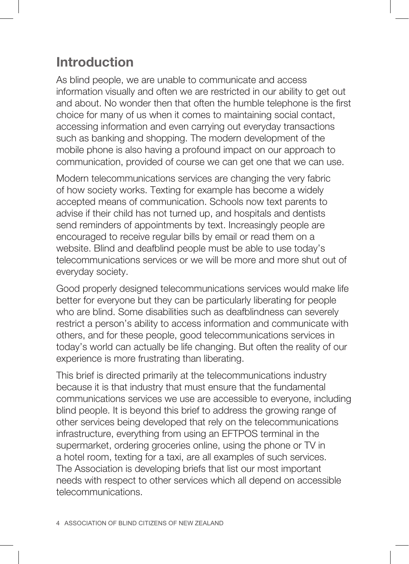### **Introduction**

As blind people, we are unable to communicate and access information visually and often we are restricted in our ability to get out and about. No wonder then that often the humble telephone is the first choice for many of us when it comes to maintaining social contact, accessing information and even carrying out everyday transactions such as banking and shopping. The modern development of the mobile phone is also having a profound impact on our approach to communication, provided of course we can get one that we can use.

Modern telecommunications services are changing the very fabric of how society works. Texting for example has become a widely accepted means of communication. Schools now text parents to advise if their child has not turned up, and hospitals and dentists send reminders of appointments by text. Increasingly people are encouraged to receive regular bills by email or read them on a website. Blind and deafblind people must be able to use today's telecommunications services or we will be more and more shut out of everyday society.

Good properly designed telecommunications services would make life better for everyone but they can be particularly liberating for people who are blind. Some disabilities such as deafblindness can severely restrict a person's ability to access information and communicate with others, and for these people, good telecommunications services in today's world can actually be life changing. But often the reality of our experience is more frustrating than liberating.

This brief is directed primarily at the telecommunications industry because it is that industry that must ensure that the fundamental communications services we use are accessible to everyone, including blind people. It is beyond this brief to address the growing range of other services being developed that rely on the telecommunications infrastructure, everything from using an EFTPOS terminal in the supermarket, ordering groceries online, using the phone or TV in a hotel room, texting for a taxi, are all examples of such services. The Association is developing briefs that list our most important needs with respect to other services which all depend on accessible telecommunications.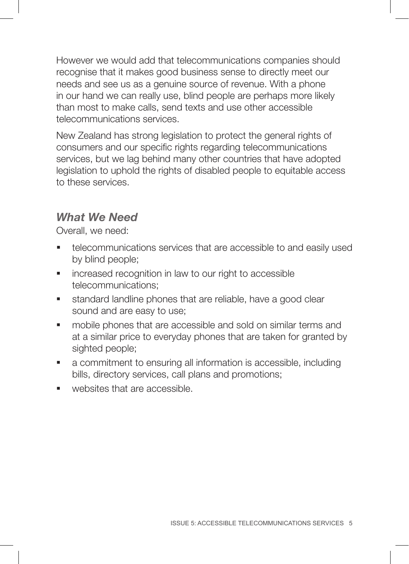However we would add that telecommunications companies should recognise that it makes good business sense to directly meet our needs and see us as a genuine source of revenue. With a phone in our hand we can really use, blind people are perhaps more likely than most to make calls, send texts and use other accessible telecommunications services.

New Zealand has strong legislation to protect the general rights of consumers and our specific rights regarding telecommunications services, but we lag behind many other countries that have adopted legislation to uphold the rights of disabled people to equitable access to these services.

#### *What We Need*

Overall, we need:

- telecommunications services that are accessible to and easily used by blind people;
- **EXEDEE** increased recognition in law to our right to accessible telecommunications;
- standard landline phones that are reliable, have a good clear sound and are easy to use;
- mobile phones that are accessible and sold on similar terms and at a similar price to everyday phones that are taken for granted by sighted people;
- a commitment to ensuring all information is accessible, including bills, directory services, call plans and promotions;
- websites that are accessible.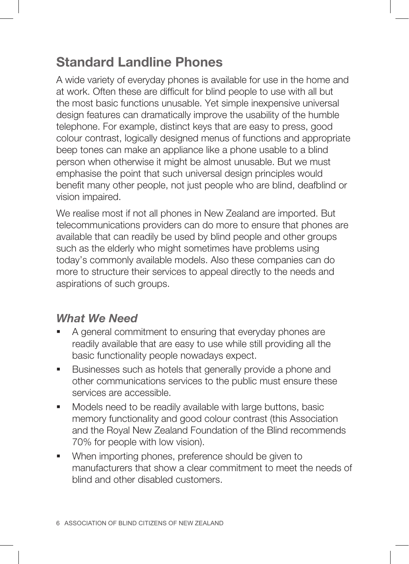### **Standard Landline Phones**

A wide variety of everyday phones is available for use in the home and at work. Often these are difficult for blind people to use with all but the most basic functions unusable. Yet simple inexpensive universal design features can dramatically improve the usability of the humble telephone. For example, distinct keys that are easy to press, good colour contrast, logically designed menus of functions and appropriate beep tones can make an appliance like a phone usable to a blind person when otherwise it might be almost unusable. But we must emphasise the point that such universal design principles would benefit many other people, not just people who are blind, deafblind or vision impaired.

We realise most if not all phones in New Zealand are imported. But telecommunications providers can do more to ensure that phones are available that can readily be used by blind people and other groups such as the elderly who might sometimes have problems using today's commonly available models. Also these companies can do more to structure their services to appeal directly to the needs and aspirations of such groups.

- A general commitment to ensuring that everyday phones are readily available that are easy to use while still providing all the basic functionality people nowadays expect.
- Businesses such as hotels that generally provide a phone and other communications services to the public must ensure these services are accessible.
- Models need to be readily available with large buttons, basic memory functionality and good colour contrast (this Association and the Royal New Zealand Foundation of the Blind recommends 70% for people with low vision).
- When importing phones, preference should be given to manufacturers that show a clear commitment to meet the needs of blind and other disabled customers.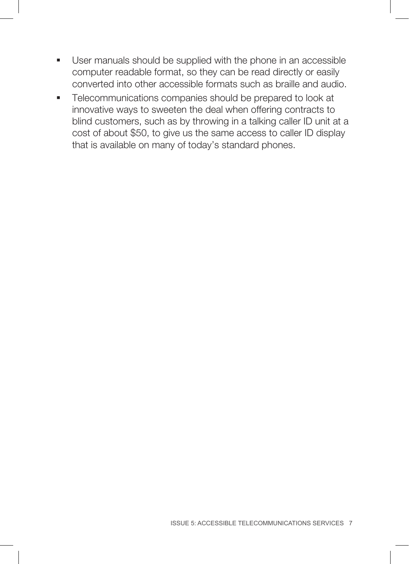- User manuals should be supplied with the phone in an accessible computer readable format, so they can be read directly or easily converted into other accessible formats such as braille and audio.
- **Telecommunications companies should be prepared to look at** innovative ways to sweeten the deal when offering contracts to blind customers, such as by throwing in a talking caller ID unit at a cost of about \$50, to give us the same access to caller ID display that is available on many of today's standard phones.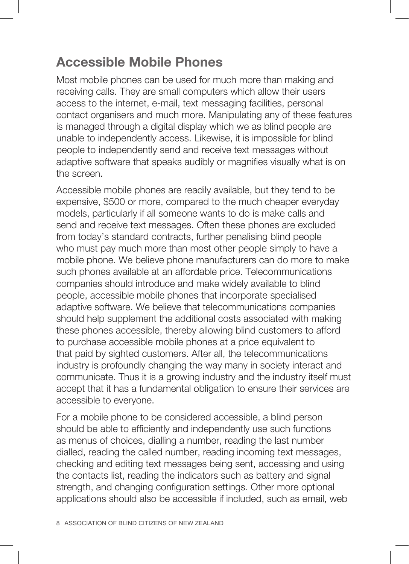### **Accessible Mobile Phones**

Most mobile phones can be used for much more than making and receiving calls. They are small computers which allow their users access to the internet, e-mail, text messaging facilities, personal contact organisers and much more. Manipulating any of these features is managed through a digital display which we as blind people are unable to independently access. Likewise, it is impossible for blind people to independently send and receive text messages without adaptive software that speaks audibly or magnifies visually what is on the screen.

Accessible mobile phones are readily available, but they tend to be expensive, \$500 or more, compared to the much cheaper everyday models, particularly if all someone wants to do is make calls and send and receive text messages. Often these phones are excluded from today's standard contracts, further penalising blind people who must pay much more than most other people simply to have a mobile phone. We believe phone manufacturers can do more to make such phones available at an affordable price. Telecommunications companies should introduce and make widely available to blind people, accessible mobile phones that incorporate specialised adaptive software. We believe that telecommunications companies should help supplement the additional costs associated with making these phones accessible, thereby allowing blind customers to afford to purchase accessible mobile phones at a price equivalent to that paid by sighted customers. After all, the telecommunications industry is profoundly changing the way many in society interact and communicate. Thus it is a growing industry and the industry itself must accept that it has a fundamental obligation to ensure their services are accessible to everyone.

For a mobile phone to be considered accessible, a blind person should be able to efficiently and independently use such functions as menus of choices, dialling a number, reading the last number dialled, reading the called number, reading incoming text messages, checking and editing text messages being sent, accessing and using the contacts list, reading the indicators such as battery and signal strength, and changing configuration settings. Other more optional applications should also be accessible if included, such as email, web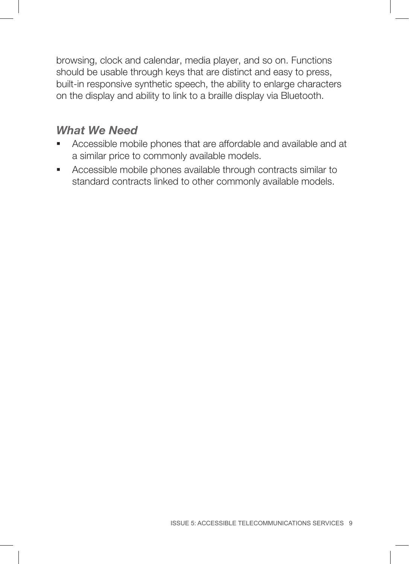browsing, clock and calendar, media player, and so on. Functions should be usable through keys that are distinct and easy to press, built-in responsive synthetic speech, the ability to enlarge characters on the display and ability to link to a braille display via Bluetooth.

- Accessible mobile phones that are affordable and available and at a similar price to commonly available models.
- Accessible mobile phones available through contracts similar to standard contracts linked to other commonly available models.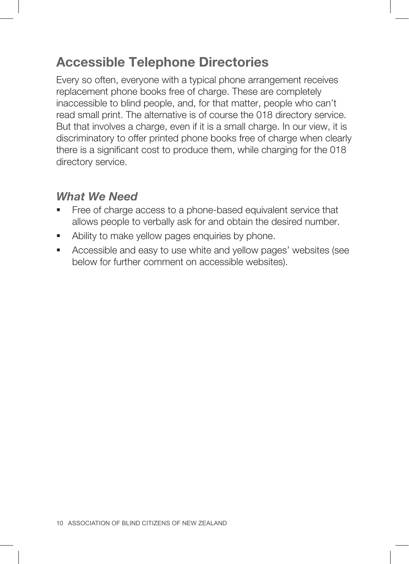### **Accessible Telephone Directories**

Every so often, everyone with a typical phone arrangement receives replacement phone books free of charge. These are completely inaccessible to blind people, and, for that matter, people who can't read small print. The alternative is of course the 018 directory service. But that involves a charge, even if it is a small charge. In our view, it is discriminatory to offer printed phone books free of charge when clearly there is a significant cost to produce them, while charging for the 018 directory service.

- Free of charge access to a phone-based equivalent service that allows people to verbally ask for and obtain the desired number.
- Ability to make yellow pages enquiries by phone.
- Accessible and easy to use white and yellow pages' websites (see below for further comment on accessible websites).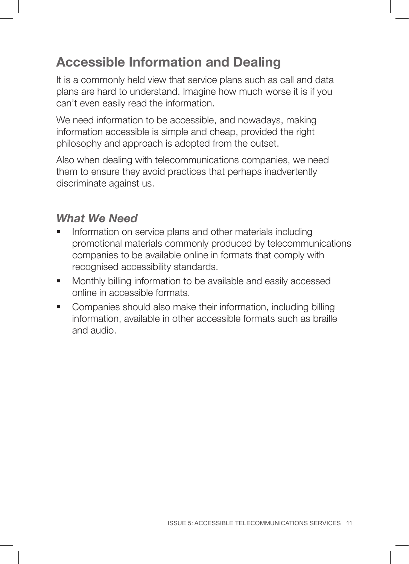### **Accessible Information and Dealing**

It is a commonly held view that service plans such as call and data plans are hard to understand. Imagine how much worse it is if you can't even easily read the information.

We need information to be accessible, and nowadays, making information accessible is simple and cheap, provided the right philosophy and approach is adopted from the outset.

Also when dealing with telecommunications companies, we need them to ensure they avoid practices that perhaps inadvertently discriminate against us.

- Information on service plans and other materials including promotional materials commonly produced by telecommunications companies to be available online in formats that comply with recognised accessibility standards.
- Monthly billing information to be available and easily accessed online in accessible formats.
- Companies should also make their information, including billing information, available in other accessible formats such as braille and audio.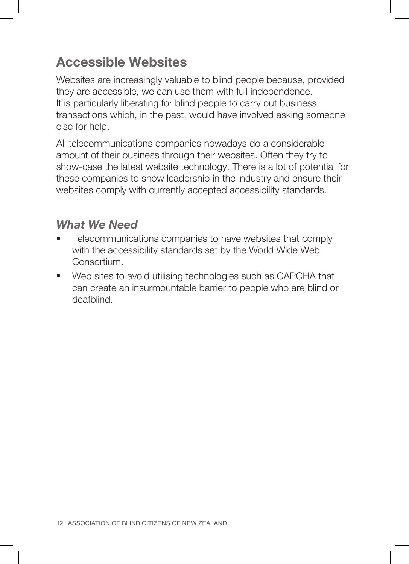### **Accessible Websites**

Websites are increasingly valuable to blind people because, provided they are accessible, we can use them with full independence. It is particularly liberating for blind people to carry out business transactions which, in the past, would have involved asking someone else for help.

All telecommunications companies nowadays do a considerable amount of their business through their websites. Often they try to show-case the latest website technology. There is a lot of potential for these companies to show leadership in the industry and ensure their websites comply with currently accepted accessibility standards.

- Telecommunications companies to have websites that comply with the accessibility standards set by the World Wide Web Consortium.
- Web sites to avoid utilising technologies such as CAPCHA that can create an insurmountable barrier to people who are blind or deafblind.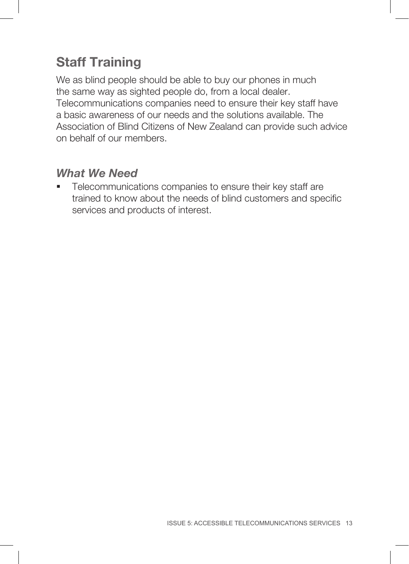# **Staff Training**

We as blind people should be able to buy our phones in much the same way as sighted people do, from a local dealer. Telecommunications companies need to ensure their key staff have a basic awareness of our needs and the solutions available. The Association of Blind Citizens of New Zealand can provide such advice on behalf of our members.

#### *What We Need*

**Telecommunications companies to ensure their key staff are** trained to know about the needs of blind customers and specific services and products of interest.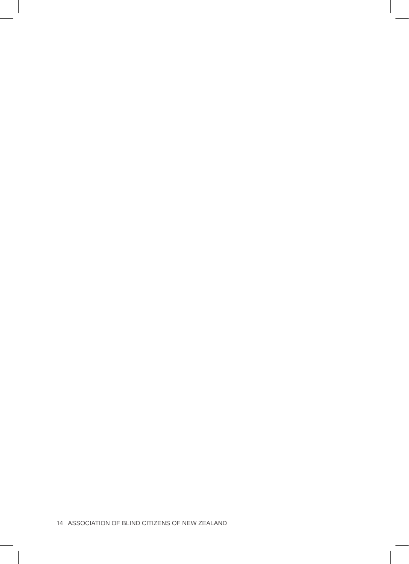14 ASSOCIATION OF BLIND CITIZENS OF NEW ZEALAND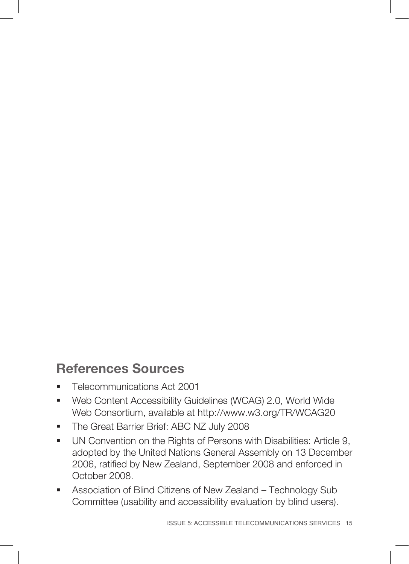### **References Sources**

- Telecommunications Act 2001
- Web Content Accessibility Guidelines (WCAG) 2.0, World Wide Web Consortium, available at http://www.w3.org/TR/WCAG20
- **The Great Barrier Brief: ABC NZ July 2008**
- **UN Convention on the Rights of Persons with Disabilities: Article 9,** adopted by the United Nations General Assembly on 13 December 2006, ratified by New Zealand, September 2008 and enforced in October 2008.
- **Association of Blind Citizens of New Zealand Technology Sub** Committee (usability and accessibility evaluation by blind users).